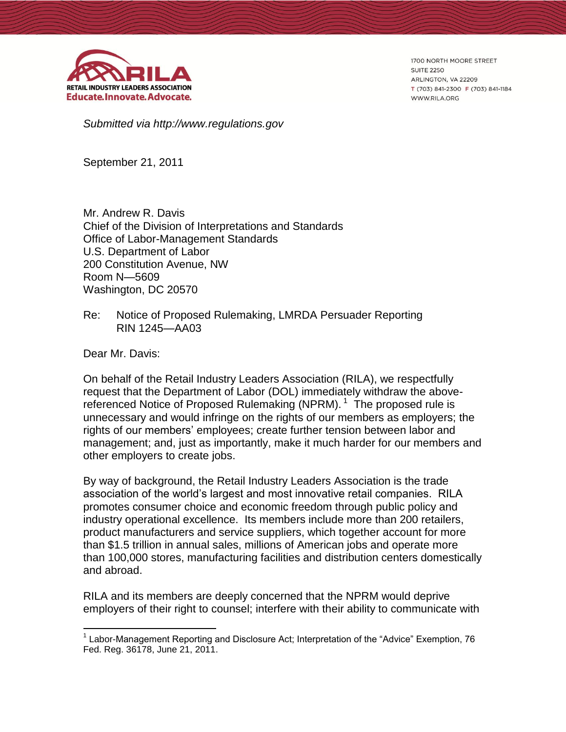

1700 NORTH MOORE STREET **SUITE 2250** ARLINGTON, VA 22209 T (703) 841-2300 F (703) 841-1184 WWW.RILA.ORG

*Submitted via http://www.regulations.gov*

September 21, 2011

Mr. Andrew R. Davis Chief of the Division of Interpretations and Standards Office of Labor-Management Standards U.S. Department of Labor 200 Constitution Avenue, NW Room N—5609 Washington, DC 20570

Re: Notice of Proposed Rulemaking, LMRDA Persuader Reporting RIN 1245—AA03

Dear Mr. Davis:

 $\overline{a}$ 

On behalf of the Retail Industry Leaders Association (RILA), we respectfully request that the Department of Labor (DOL) immediately withdraw the abovereferenced Notice of Proposed Rulemaking (NPRM).<sup>1</sup> The proposed rule is unnecessary and would infringe on the rights of our members as employers; the rights of our members' employees; create further tension between labor and management; and, just as importantly, make it much harder for our members and other employers to create jobs.

By way of background, the Retail Industry Leaders Association is the trade association of the world's largest and most innovative retail companies. RILA promotes consumer choice and economic freedom through public policy and industry operational excellence. Its members include more than 200 retailers, product manufacturers and service suppliers, which together account for more than \$1.5 trillion in annual sales, millions of American jobs and operate more than 100,000 stores, manufacturing facilities and distribution centers domestically and abroad.

RILA and its members are deeply concerned that the NPRM would deprive employers of their right to counsel; interfere with their ability to communicate with

<sup>&</sup>lt;sup>1</sup> Labor-Management Reporting and Disclosure Act; Interpretation of the "Advice" Exemption, 76 Fed. Reg. 36178, June 21, 2011.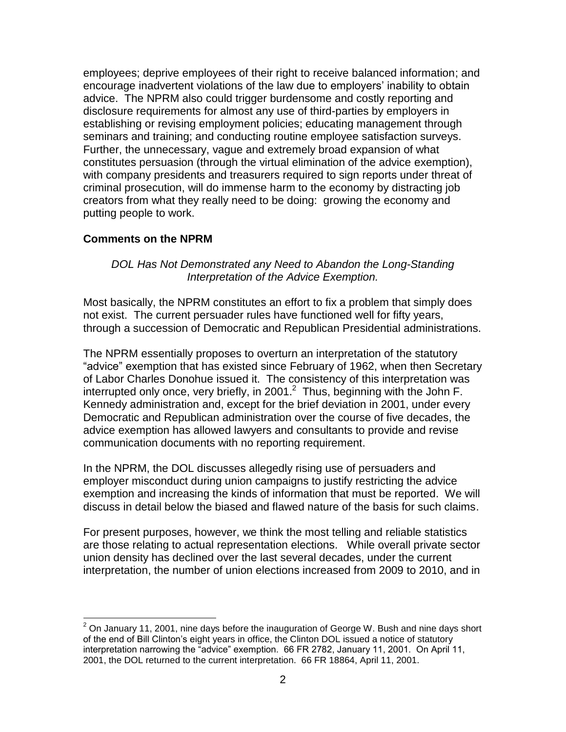employees; deprive employees of their right to receive balanced information; and encourage inadvertent violations of the law due to employers' inability to obtain advice. The NPRM also could trigger burdensome and costly reporting and disclosure requirements for almost any use of third-parties by employers in establishing or revising employment policies; educating management through seminars and training; and conducting routine employee satisfaction surveys. Further, the unnecessary, vague and extremely broad expansion of what constitutes persuasion (through the virtual elimination of the advice exemption), with company presidents and treasurers required to sign reports under threat of criminal prosecution, will do immense harm to the economy by distracting job creators from what they really need to be doing: growing the economy and putting people to work.

## **Comments on the NPRM**

## *DOL Has Not Demonstrated any Need to Abandon the Long-Standing Interpretation of the Advice Exemption.*

Most basically, the NPRM constitutes an effort to fix a problem that simply does not exist. The current persuader rules have functioned well for fifty years, through a succession of Democratic and Republican Presidential administrations.

The NPRM essentially proposes to overturn an interpretation of the statutory "advice" exemption that has existed since February of 1962, when then Secretary of Labor Charles Donohue issued it. The consistency of this interpretation was interrupted only once, very briefly, in 2001. $^2$  Thus, beginning with the John F. Kennedy administration and, except for the brief deviation in 2001, under every Democratic and Republican administration over the course of five decades, the advice exemption has allowed lawyers and consultants to provide and revise communication documents with no reporting requirement.

In the NPRM, the DOL discusses allegedly rising use of persuaders and employer misconduct during union campaigns to justify restricting the advice exemption and increasing the kinds of information that must be reported. We will discuss in detail below the biased and flawed nature of the basis for such claims.

For present purposes, however, we think the most telling and reliable statistics are those relating to actual representation elections. While overall private sector union density has declined over the last several decades, under the current interpretation, the number of union elections increased from 2009 to 2010, and in

 $\overline{a}$  $2$  On January 11, 2001, nine days before the inauguration of George W. Bush and nine days short of the end of Bill Clinton's eight years in office, the Clinton DOL issued a notice of statutory interpretation narrowing the "advice" exemption. 66 FR 2782, January 11, 2001. On April 11, 2001, the DOL returned to the current interpretation. 66 FR 18864, April 11, 2001.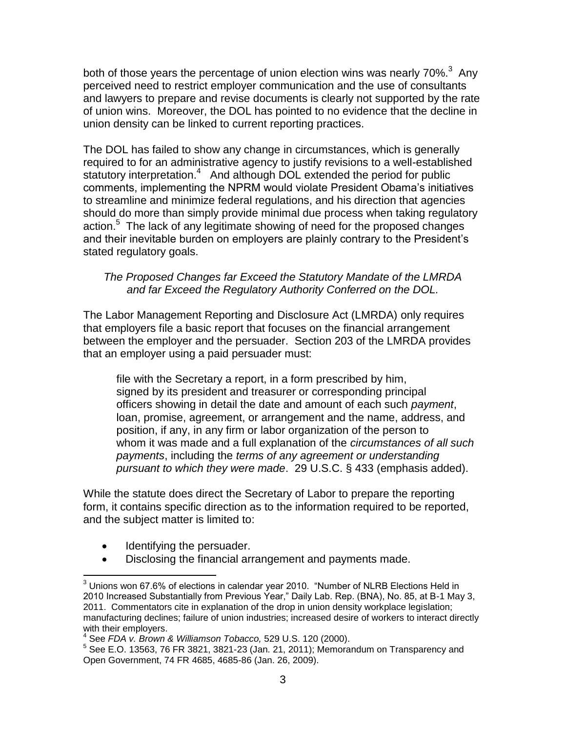both of those years the percentage of union election wins was nearly 70%. $3$  Any perceived need to restrict employer communication and the use of consultants and lawyers to prepare and revise documents is clearly not supported by the rate of union wins. Moreover, the DOL has pointed to no evidence that the decline in union density can be linked to current reporting practices.

The DOL has failed to show any change in circumstances, which is generally required to for an administrative agency to justify revisions to a well-established statutory interpretation.<sup>4</sup> And although DOL extended the period for public comments, implementing the NPRM would violate President Obama's initiatives to streamline and minimize federal regulations, and his direction that agencies should do more than simply provide minimal due process when taking regulatory action.<sup>5</sup> The lack of any legitimate showing of need for the proposed changes and their inevitable burden on employers are plainly contrary to the President's stated regulatory goals.

# *The Proposed Changes far Exceed the Statutory Mandate of the LMRDA and far Exceed the Regulatory Authority Conferred on the DOL.*

The Labor Management Reporting and Disclosure Act (LMRDA) only requires that employers file a basic report that focuses on the financial arrangement between the employer and the persuader. Section 203 of the LMRDA provides that an employer using a paid persuader must:

file with the Secretary a report, in a form prescribed by him, signed by its president and treasurer or corresponding principal officers showing in detail the date and amount of each such *payment*, loan, promise, agreement, or arrangement and the name, address, and position, if any, in any firm or labor organization of the person to whom it was made and a full explanation of the *circumstances of all such payments*, including the *terms of any agreement or understanding pursuant to which they were made*. 29 U.S.C. § 433 (emphasis added).

While the statute does direct the Secretary of Labor to prepare the reporting form, it contains specific direction as to the information required to be reported, and the subject matter is limited to:

Identifying the persuader.

 $\overline{a}$ 

Disclosing the financial arrangement and payments made.

 $3$  Unions won 67.6% of elections in calendar year 2010. "Number of NLRB Elections Held in 2010 Increased Substantially from Previous Year," Daily Lab. Rep. (BNA), No. 85, at B-1 May 3, 2011. Commentators cite in explanation of the drop in union density workplace legislation; manufacturing declines; failure of union industries; increased desire of workers to interact directly with their employers.

<sup>4</sup> See *FDA v. Brown & Williamson Tobacco,* 529 U.S. 120 (2000).

 $5$  See E.O. 13563, 76 FR 3821, 3821-23 (Jan. 21, 2011); Memorandum on Transparency and Open Government, 74 FR 4685, 4685-86 (Jan. 26, 2009).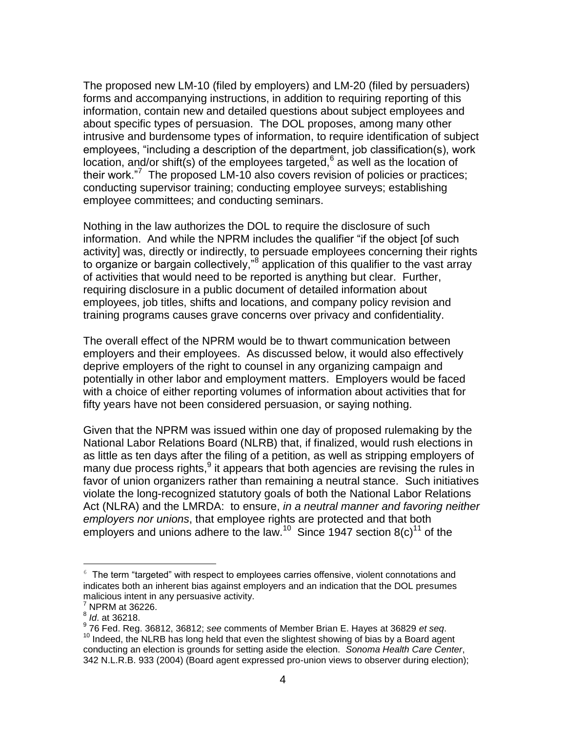The proposed new LM-10 (filed by employers) and LM-20 (filed by persuaders) forms and accompanying instructions, in addition to requiring reporting of this information, contain new and detailed questions about subject employees and about specific types of persuasion. The DOL proposes, among many other intrusive and burdensome types of information, to require identification of subject employees, "including a description of the department, job classification(s), work location, and/or shift(s) of the employees targeted,  $6$  as well as the location of their work."<sup>7</sup> The proposed LM-10 also covers revision of policies or practices; conducting supervisor training; conducting employee surveys; establishing employee committees; and conducting seminars.

Nothing in the law authorizes the DOL to require the disclosure of such information. And while the NPRM includes the qualifier "if the object [of such activity] was, directly or indirectly, to persuade employees concerning their rights to organize or bargain collectively,"<sup>8</sup> application of this qualifier to the vast array of activities that would need to be reported is anything but clear. Further, requiring disclosure in a public document of detailed information about employees, job titles, shifts and locations, and company policy revision and training programs causes grave concerns over privacy and confidentiality.

The overall effect of the NPRM would be to thwart communication between employers and their employees. As discussed below, it would also effectively deprive employers of the right to counsel in any organizing campaign and potentially in other labor and employment matters. Employers would be faced with a choice of either reporting volumes of information about activities that for fifty years have not been considered persuasion, or saying nothing.

Given that the NPRM was issued within one day of proposed rulemaking by the National Labor Relations Board (NLRB) that, if finalized, would rush elections in as little as ten days after the filing of a petition, as well as stripping employers of many due process rights,<sup>9</sup> it appears that both agencies are revising the rules in favor of union organizers rather than remaining a neutral stance. Such initiatives violate the long-recognized statutory goals of both the National Labor Relations Act (NLRA) and the LMRDA: to ensure, *in a neutral manner and favoring neither employers nor unions*, that employee rights are protected and that both employers and unions adhere to the law.<sup>10</sup> Since 1947 section 8(c)<sup>11</sup> of the

 $6$  The term "targeted" with respect to employees carries offensive, violent connotations and indicates both an inherent bias against employers and an indication that the DOL presumes malicious intent in any persuasive activity.

 $<sup>7</sup>$  NPRM at 36226.</sup>

<sup>8</sup> *Id*. at 36218.

<sup>9</sup> 76 Fed. Reg. 36812, 36812; *see* comments of Member Brian E. Hayes at 36829 *et seq*.

 $10$  Indeed, the NLRB has long held that even the slightest showing of bias by a Board agent conducting an election is grounds for setting aside the election. *Sonoma Health Care Center*, 342 N.L.R.B. 933 (2004) (Board agent expressed pro-union views to observer during election);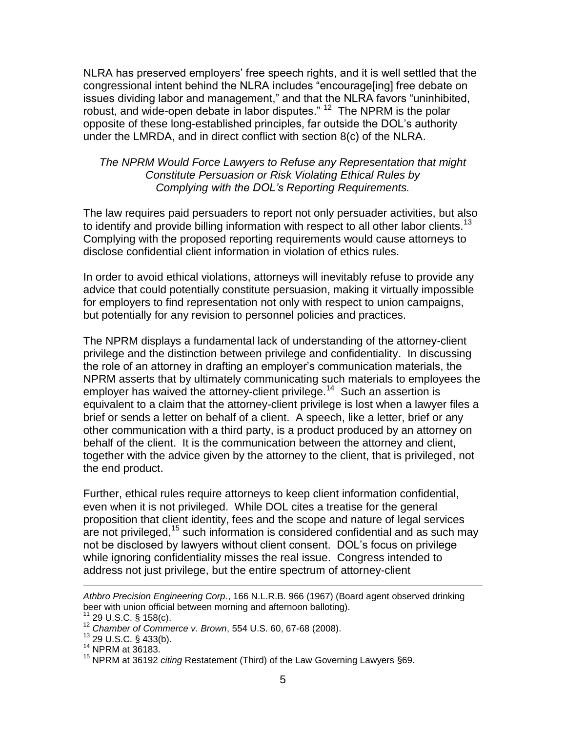NLRA has preserved employers' free speech rights, and it is well settled that the congressional intent behind the NLRA includes "encourage[ing] free debate on issues dividing labor and management," and that the NLRA favors "uninhibited, robust, and wide-open debate in labor disputes." <sup>12</sup> The NPRM is the polar opposite of these long-established principles, far outside the DOL's authority under the LMRDA, and in direct conflict with section 8(c) of the NLRA.

### *The NPRM Would Force Lawyers to Refuse any Representation that might Constitute Persuasion or Risk Violating Ethical Rules by Complying with the DOL's Reporting Requirements.*

The law requires paid persuaders to report not only persuader activities, but also to identify and provide billing information with respect to all other labor clients.<sup>13</sup> Complying with the proposed reporting requirements would cause attorneys to disclose confidential client information in violation of ethics rules.

In order to avoid ethical violations, attorneys will inevitably refuse to provide any advice that could potentially constitute persuasion, making it virtually impossible for employers to find representation not only with respect to union campaigns, but potentially for any revision to personnel policies and practices.

The NPRM displays a fundamental lack of understanding of the attorney-client privilege and the distinction between privilege and confidentiality. In discussing the role of an attorney in drafting an employer's communication materials, the NPRM asserts that by ultimately communicating such materials to employees the employer has waived the attorney-client privilege.<sup>14</sup> Such an assertion is equivalent to a claim that the attorney-client privilege is lost when a lawyer files a brief or sends a letter on behalf of a client. A speech, like a letter, brief or any other communication with a third party, is a product produced by an attorney on behalf of the client. It is the communication between the attorney and client, together with the advice given by the attorney to the client, that is privileged, not the end product.

Further, ethical rules require attorneys to keep client information confidential, even when it is not privileged. While DOL cites a treatise for the general proposition that client identity, fees and the scope and nature of legal services  $\alpha$  not privileged,<sup>15</sup> such information is considered confidential and as such may not be disclosed by lawyers without client consent. DOL's focus on privilege while ignoring confidentiality misses the real issue. Congress intended to address not just privilege, but the entire spectrum of attorney-client

*Athbro Precision Engineering Corp.*, 166 N.L.R.B. 966 (1967) (Board agent observed drinking beer with union official between morning and afternoon balloting).

 $11$  29 U.S.C. § 158(c).

<sup>12</sup> *Chamber of Commerce v. Brown*, 554 U.S. 60, 67-68 (2008).

<sup>13</sup> 29 U.S.C. § 433(b).

<sup>14</sup> NPRM at 36183.

<sup>15</sup> NPRM at 36192 *citing* Restatement (Third) of the Law Governing Lawyers §69.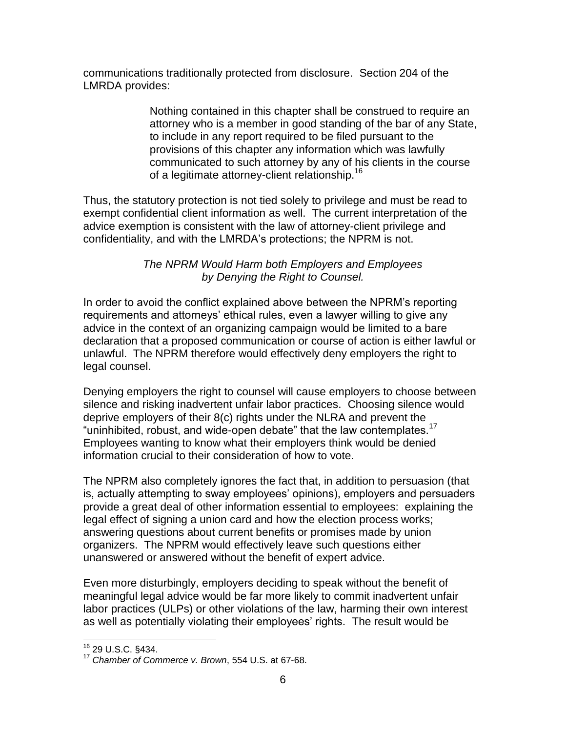communications traditionally protected from disclosure. Section 204 of the LMRDA provides:

> Nothing contained in this chapter shall be construed to require an attorney who is a member in good standing of the bar of any State, to include in any report required to be filed pursuant to the provisions of this chapter any information which was lawfully communicated to such attorney by any of his clients in the course of a legitimate attorney-client relationship.<sup>16</sup>

Thus, the statutory protection is not tied solely to privilege and must be read to exempt confidential client information as well. The current interpretation of the advice exemption is consistent with the law of attorney-client privilege and confidentiality, and with the LMRDA's protections; the NPRM is not.

## *The NPRM Would Harm both Employers and Employees by Denying the Right to Counsel.*

In order to avoid the conflict explained above between the NPRM's reporting requirements and attorneys' ethical rules, even a lawyer willing to give any advice in the context of an organizing campaign would be limited to a bare declaration that a proposed communication or course of action is either lawful or unlawful. The NPRM therefore would effectively deny employers the right to legal counsel.

Denying employers the right to counsel will cause employers to choose between silence and risking inadvertent unfair labor practices. Choosing silence would deprive employers of their 8(c) rights under the NLRA and prevent the "uninhibited, robust, and wide-open debate" that the law contemplates.<sup>17</sup> Employees wanting to know what their employers think would be denied information crucial to their consideration of how to vote.

The NPRM also completely ignores the fact that, in addition to persuasion (that is, actually attempting to sway employees' opinions), employers and persuaders provide a great deal of other information essential to employees: explaining the legal effect of signing a union card and how the election process works; answering questions about current benefits or promises made by union organizers. The NPRM would effectively leave such questions either unanswered or answered without the benefit of expert advice.

Even more disturbingly, employers deciding to speak without the benefit of meaningful legal advice would be far more likely to commit inadvertent unfair labor practices (ULPs) or other violations of the law, harming their own interest as well as potentially violating their employees' rights. The result would be

<sup>16</sup> 29 U.S.C. §434.

<sup>17</sup> *Chamber of Commerce v. Brown*, 554 U.S. at 67-68.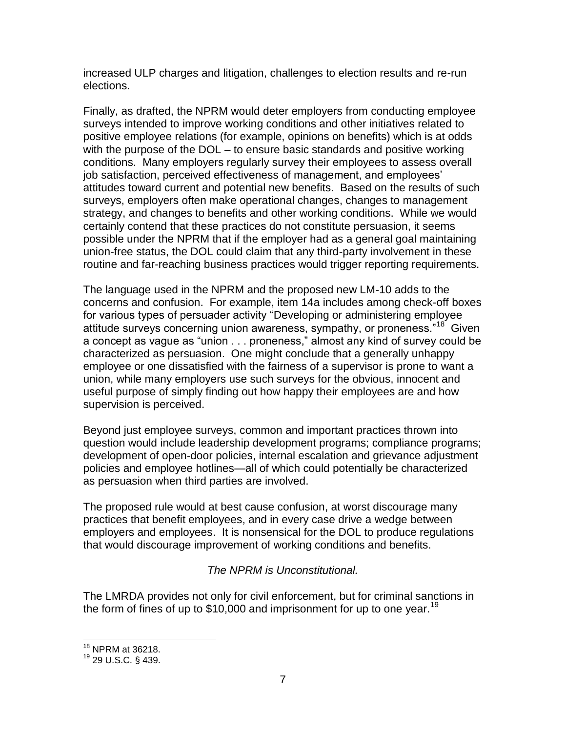increased ULP charges and litigation, challenges to election results and re-run elections.

Finally, as drafted, the NPRM would deter employers from conducting employee surveys intended to improve working conditions and other initiatives related to positive employee relations (for example, opinions on benefits) which is at odds with the purpose of the DOL – to ensure basic standards and positive working conditions. Many employers regularly survey their employees to assess overall job satisfaction, perceived effectiveness of management, and employees' attitudes toward current and potential new benefits. Based on the results of such surveys, employers often make operational changes, changes to management strategy, and changes to benefits and other working conditions. While we would certainly contend that these practices do not constitute persuasion, it seems possible under the NPRM that if the employer had as a general goal maintaining union-free status, the DOL could claim that any third-party involvement in these routine and far-reaching business practices would trigger reporting requirements.

The language used in the NPRM and the proposed new LM-10 adds to the concerns and confusion. For example, item 14a includes among check-off boxes for various types of persuader activity "Developing or administering employee attitude surveys concerning union awareness, sympathy, or proneness."<sup>18</sup> Given a concept as vague as "union . . . proneness," almost any kind of survey could be characterized as persuasion. One might conclude that a generally unhappy employee or one dissatisfied with the fairness of a supervisor is prone to want a union, while many employers use such surveys for the obvious, innocent and useful purpose of simply finding out how happy their employees are and how supervision is perceived.

Beyond just employee surveys, common and important practices thrown into question would include leadership development programs; compliance programs; development of open-door policies, internal escalation and grievance adjustment policies and employee hotlines—all of which could potentially be characterized as persuasion when third parties are involved.

The proposed rule would at best cause confusion, at worst discourage many practices that benefit employees, and in every case drive a wedge between employers and employees. It is nonsensical for the DOL to produce regulations that would discourage improvement of working conditions and benefits.

## *The NPRM is Unconstitutional.*

The LMRDA provides not only for civil enforcement, but for criminal sanctions in the form of fines of up to \$10,000 and imprisonment for up to one year.<sup>19</sup>

<sup>&</sup>lt;sup>18</sup> NPRM at 36218.

<sup>19</sup> 29 U.S.C. § 439.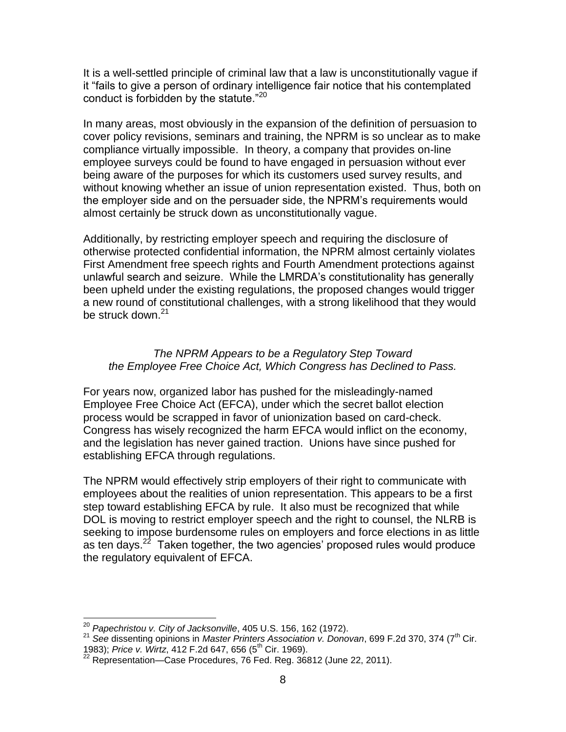It is a well-settled principle of criminal law that a law is unconstitutionally vague if it "fails to give a person of ordinary intelligence fair notice that his contemplated conduct is forbidden by the statute."<sup>20</sup>

In many areas, most obviously in the expansion of the definition of persuasion to cover policy revisions, seminars and training, the NPRM is so unclear as to make compliance virtually impossible. In theory, a company that provides on-line employee surveys could be found to have engaged in persuasion without ever being aware of the purposes for which its customers used survey results, and without knowing whether an issue of union representation existed. Thus, both on the employer side and on the persuader side, the NPRM's requirements would almost certainly be struck down as unconstitutionally vague.

Additionally, by restricting employer speech and requiring the disclosure of otherwise protected confidential information, the NPRM almost certainly violates First Amendment free speech rights and Fourth Amendment protections against unlawful search and seizure. While the LMRDA's constitutionality has generally been upheld under the existing regulations, the proposed changes would trigger a new round of constitutional challenges, with a strong likelihood that they would be struck down.<sup>21</sup>

# *The NPRM Appears to be a Regulatory Step Toward the Employee Free Choice Act, Which Congress has Declined to Pass.*

For years now, organized labor has pushed for the misleadingly-named Employee Free Choice Act (EFCA), under which the secret ballot election process would be scrapped in favor of unionization based on card-check. Congress has wisely recognized the harm EFCA would inflict on the economy, and the legislation has never gained traction. Unions have since pushed for establishing EFCA through regulations.

The NPRM would effectively strip employers of their right to communicate with employees about the realities of union representation. This appears to be a first step toward establishing EFCA by rule. It also must be recognized that while DOL is moving to restrict employer speech and the right to counsel, the NLRB is seeking to impose burdensome rules on employers and force elections in as little as ten days.<sup>22</sup> Taken together, the two agencies' proposed rules would produce the regulatory equivalent of EFCA.

 $\overline{a}$ <sup>20</sup> *Papechristou v. City of Jacksonville*, 405 U.S. 156, 162 (1972).

<sup>&</sup>lt;sup>21</sup> See dissenting opinions in *Master Printers Association v. Donovan*, 699 F.2d 370, 374 (7<sup>th</sup> Cir. 1983); *Price v. Wirtz*, 412 F.2d 647, 656 (5th Cir. 1969).

 $^{22}$  Representation—Case Procedures, 76 Fed. Reg. 36812 (June 22, 2011).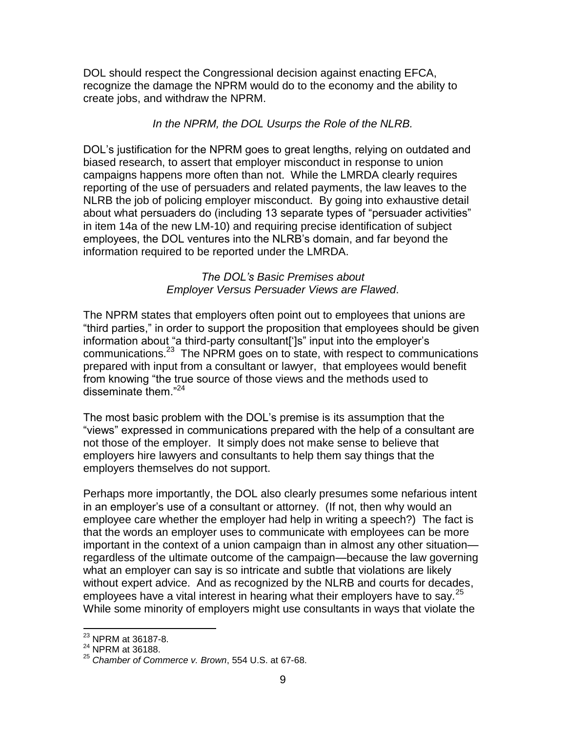DOL should respect the Congressional decision against enacting EFCA, recognize the damage the NPRM would do to the economy and the ability to create jobs, and withdraw the NPRM.

# *In the NPRM, the DOL Usurps the Role of the NLRB.*

DOL's justification for the NPRM goes to great lengths, relying on outdated and biased research, to assert that employer misconduct in response to union campaigns happens more often than not. While the LMRDA clearly requires reporting of the use of persuaders and related payments, the law leaves to the NLRB the job of policing employer misconduct. By going into exhaustive detail about what persuaders do (including 13 separate types of "persuader activities" in item 14a of the new LM-10) and requiring precise identification of subject employees, the DOL ventures into the NLRB's domain, and far beyond the information required to be reported under the LMRDA.

### *The DOL's Basic Premises about Employer Versus Persuader Views are Flawed*.

The NPRM states that employers often point out to employees that unions are "third parties," in order to support the proposition that employees should be given information about "a third-party consultant[']s" input into the employer's communications.<sup>23</sup> The NPRM goes on to state, with respect to communications prepared with input from a consultant or lawyer, that employees would benefit from knowing "the true source of those views and the methods used to disseminate them."<sup>24</sup>

The most basic problem with the DOL's premise is its assumption that the "views" expressed in communications prepared with the help of a consultant are not those of the employer. It simply does not make sense to believe that employers hire lawyers and consultants to help them say things that the employers themselves do not support.

Perhaps more importantly, the DOL also clearly presumes some nefarious intent in an employer's use of a consultant or attorney. (If not, then why would an employee care whether the employer had help in writing a speech?) The fact is that the words an employer uses to communicate with employees can be more important in the context of a union campaign than in almost any other situation regardless of the ultimate outcome of the campaign—because the law governing what an employer can say is so intricate and subtle that violations are likely without expert advice. And as recognized by the NLRB and courts for decades, employees have a vital interest in hearing what their employers have to say.<sup>25</sup> While some minority of employers might use consultants in ways that violate the

 $^{23}$  NPRM at 36187-8.

 $^{24}$  NPRM at 36188.

<sup>25</sup> *Chamber of Commerce v. Brown*, 554 U.S. at 67-68.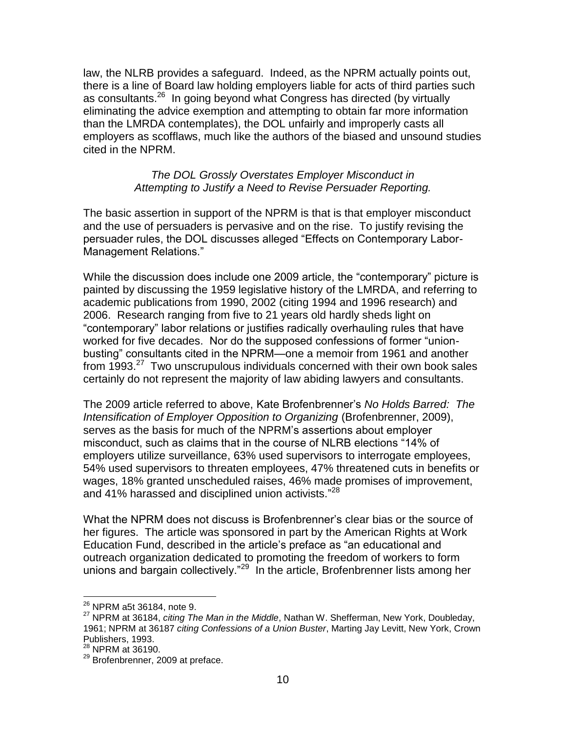law, the NLRB provides a safeguard. Indeed, as the NPRM actually points out, there is a line of Board law holding employers liable for acts of third parties such as consultants.<sup>26</sup> In going beyond what Congress has directed (by virtually eliminating the advice exemption and attempting to obtain far more information than the LMRDA contemplates), the DOL unfairly and improperly casts all employers as scofflaws, much like the authors of the biased and unsound studies cited in the NPRM.

#### *The DOL Grossly Overstates Employer Misconduct in Attempting to Justify a Need to Revise Persuader Reporting.*

The basic assertion in support of the NPRM is that is that employer misconduct and the use of persuaders is pervasive and on the rise. To justify revising the persuader rules, the DOL discusses alleged "Effects on Contemporary Labor-Management Relations."

While the discussion does include one 2009 article, the "contemporary" picture is painted by discussing the 1959 legislative history of the LMRDA, and referring to academic publications from 1990, 2002 (citing 1994 and 1996 research) and 2006. Research ranging from five to 21 years old hardly sheds light on "contemporary" labor relations or justifies radically overhauling rules that have worked for five decades. Nor do the supposed confessions of former "unionbusting" consultants cited in the NPRM—one a memoir from 1961 and another from 1993.<sup>27</sup> Two unscrupulous individuals concerned with their own book sales certainly do not represent the majority of law abiding lawyers and consultants.

The 2009 article referred to above, Kate Brofenbrenner's *No Holds Barred: The Intensification of Employer Opposition to Organizing* (Brofenbrenner, 2009), serves as the basis for much of the NPRM's assertions about employer misconduct, such as claims that in the course of NLRB elections "14% of employers utilize surveillance, 63% used supervisors to interrogate employees, 54% used supervisors to threaten employees, 47% threatened cuts in benefits or wages, 18% granted unscheduled raises, 46% made promises of improvement, and 41% harassed and disciplined union activists."<sup>28</sup>

What the NPRM does not discuss is Brofenbrenner's clear bias or the source of her figures. The article was sponsored in part by the American Rights at Work Education Fund, described in the article's preface as "an educational and outreach organization dedicated to promoting the freedom of workers to form unions and bargain collectively."<sup>29</sup> In the article, Brofenbrenner lists among her

 $^{26}$  NPRM a5t 36184, note 9.

<sup>27</sup> NPRM at 36184, *citing The Man in the Middle*, Nathan W. Shefferman, New York, Doubleday, 1961; NPRM at 36187 *citing Confessions of a Union Buster*, Marting Jay Levitt, New York, Crown Publishers, 1993.

<sup>28</sup> NPRM at 36190.

<sup>&</sup>lt;sup>29</sup> Brofenbrenner, 2009 at preface.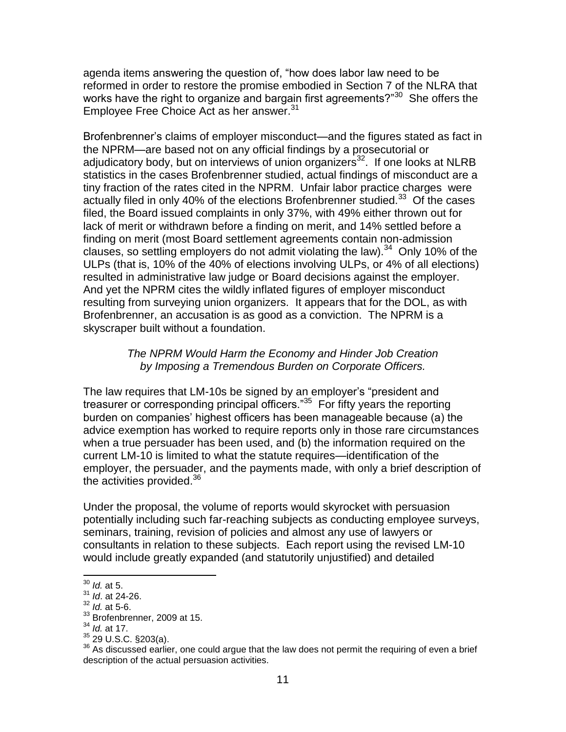agenda items answering the question of, "how does labor law need to be reformed in order to restore the promise embodied in Section 7 of the NLRA that works have the right to organize and bargain first agreements?"<sup>30</sup> She offers the Employee Free Choice Act as her answer.<sup>31</sup>

Brofenbrenner's claims of employer misconduct—and the figures stated as fact in the NPRM—are based not on any official findings by a prosecutorial or adjudicatory body, but on interviews of union organizers<sup>32</sup>. If one looks at NLRB statistics in the cases Brofenbrenner studied, actual findings of misconduct are a tiny fraction of the rates cited in the NPRM. Unfair labor practice charges were actually filed in only 40% of the elections Brofenbrenner studied.<sup>33</sup> Of the cases filed, the Board issued complaints in only 37%, with 49% either thrown out for lack of merit or withdrawn before a finding on merit, and 14% settled before a finding on merit (most Board settlement agreements contain non-admission clauses, so settling employers do not admit violating the law). $34$  Only 10% of the ULPs (that is, 10% of the 40% of elections involving ULPs, or 4% of all elections) resulted in administrative law judge or Board decisions against the employer. And yet the NPRM cites the wildly inflated figures of employer misconduct resulting from surveying union organizers. It appears that for the DOL, as with Brofenbrenner, an accusation is as good as a conviction. The NPRM is a skyscraper built without a foundation.

### *The NPRM Would Harm the Economy and Hinder Job Creation by Imposing a Tremendous Burden on Corporate Officers.*

The law requires that LM-10s be signed by an employer's "president and treasurer or corresponding principal officers."<sup>35</sup> For fifty years the reporting burden on companies' highest officers has been manageable because (a) the advice exemption has worked to require reports only in those rare circumstances when a true persuader has been used, and (b) the information required on the current LM-10 is limited to what the statute requires—identification of the employer, the persuader, and the payments made, with only a brief description of the activities provided.<sup>36</sup>

Under the proposal, the volume of reports would skyrocket with persuasion potentially including such far-reaching subjects as conducting employee surveys, seminars, training, revision of policies and almost any use of lawyers or consultants in relation to these subjects. Each report using the revised LM-10 would include greatly expanded (and statutorily unjustified) and detailed

<sup>30</sup> *Id.* at 5.

<sup>31</sup> *Id*. at 24-26.

<sup>32</sup> *Id.* at 5-6.

<sup>&</sup>lt;sup>33</sup> Brofenbrenner, 2009 at 15.

<sup>34</sup> *Id.* at 17.

 $35$  29 U.S.C. §203(a).

<sup>36</sup> As discussed earlier, one could argue that the law does not permit the requiring of even a brief description of the actual persuasion activities.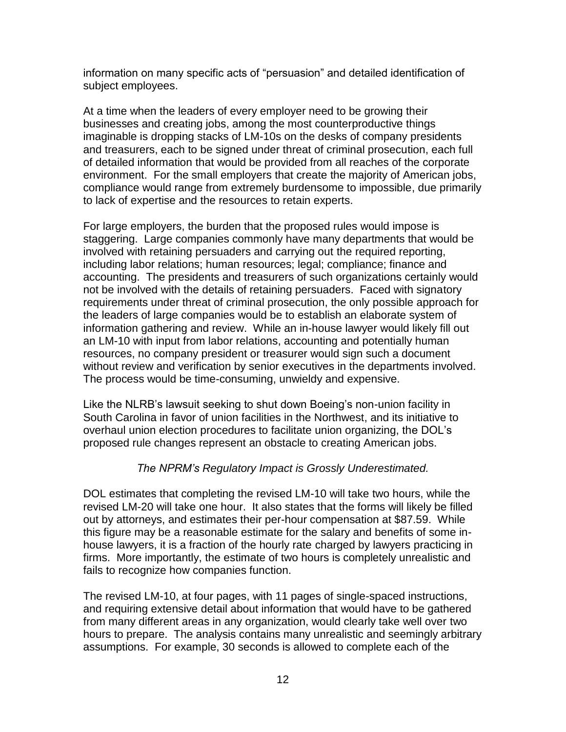information on many specific acts of "persuasion" and detailed identification of subject employees.

At a time when the leaders of every employer need to be growing their businesses and creating jobs, among the most counterproductive things imaginable is dropping stacks of LM-10s on the desks of company presidents and treasurers, each to be signed under threat of criminal prosecution, each full of detailed information that would be provided from all reaches of the corporate environment. For the small employers that create the majority of American jobs, compliance would range from extremely burdensome to impossible, due primarily to lack of expertise and the resources to retain experts.

For large employers, the burden that the proposed rules would impose is staggering. Large companies commonly have many departments that would be involved with retaining persuaders and carrying out the required reporting, including labor relations; human resources; legal; compliance; finance and accounting. The presidents and treasurers of such organizations certainly would not be involved with the details of retaining persuaders. Faced with signatory requirements under threat of criminal prosecution, the only possible approach for the leaders of large companies would be to establish an elaborate system of information gathering and review. While an in-house lawyer would likely fill out an LM-10 with input from labor relations, accounting and potentially human resources, no company president or treasurer would sign such a document without review and verification by senior executives in the departments involved. The process would be time-consuming, unwieldy and expensive.

Like the NLRB's lawsuit seeking to shut down Boeing's non-union facility in South Carolina in favor of union facilities in the Northwest, and its initiative to overhaul union election procedures to facilitate union organizing, the DOL's proposed rule changes represent an obstacle to creating American jobs.

## *The NPRM's Regulatory Impact is Grossly Underestimated.*

DOL estimates that completing the revised LM-10 will take two hours, while the revised LM-20 will take one hour. It also states that the forms will likely be filled out by attorneys, and estimates their per-hour compensation at \$87.59. While this figure may be a reasonable estimate for the salary and benefits of some inhouse lawyers, it is a fraction of the hourly rate charged by lawyers practicing in firms. More importantly, the estimate of two hours is completely unrealistic and fails to recognize how companies function.

The revised LM-10, at four pages, with 11 pages of single-spaced instructions, and requiring extensive detail about information that would have to be gathered from many different areas in any organization, would clearly take well over two hours to prepare. The analysis contains many unrealistic and seemingly arbitrary assumptions. For example, 30 seconds is allowed to complete each of the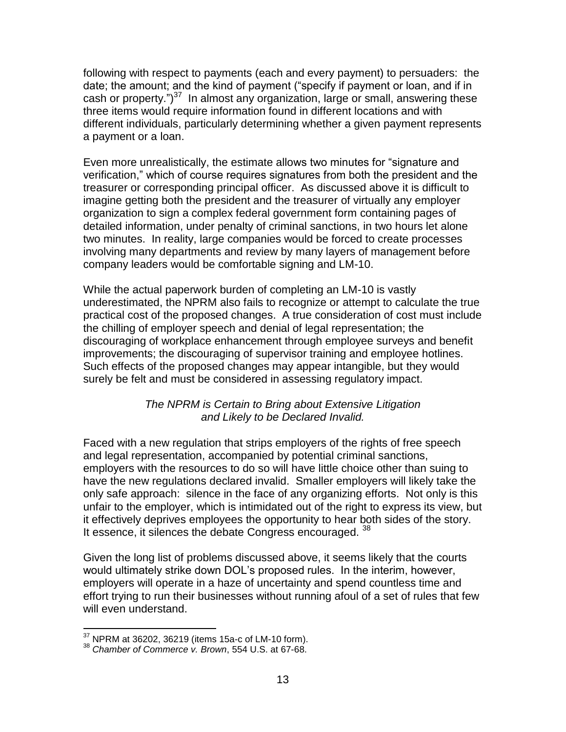following with respect to payments (each and every payment) to persuaders: the date; the amount; and the kind of payment ("specify if payment or loan, and if in cash or property.") $37$  In almost any organization, large or small, answering these three items would require information found in different locations and with different individuals, particularly determining whether a given payment represents a payment or a loan.

Even more unrealistically, the estimate allows two minutes for "signature and verification," which of course requires signatures from both the president and the treasurer or corresponding principal officer. As discussed above it is difficult to imagine getting both the president and the treasurer of virtually any employer organization to sign a complex federal government form containing pages of detailed information, under penalty of criminal sanctions, in two hours let alone two minutes. In reality, large companies would be forced to create processes involving many departments and review by many layers of management before company leaders would be comfortable signing and LM-10.

While the actual paperwork burden of completing an LM-10 is vastly underestimated, the NPRM also fails to recognize or attempt to calculate the true practical cost of the proposed changes. A true consideration of cost must include the chilling of employer speech and denial of legal representation; the discouraging of workplace enhancement through employee surveys and benefit improvements; the discouraging of supervisor training and employee hotlines. Such effects of the proposed changes may appear intangible, but they would surely be felt and must be considered in assessing regulatory impact.

## *The NPRM is Certain to Bring about Extensive Litigation and Likely to be Declared Invalid.*

Faced with a new regulation that strips employers of the rights of free speech and legal representation, accompanied by potential criminal sanctions, employers with the resources to do so will have little choice other than suing to have the new regulations declared invalid. Smaller employers will likely take the only safe approach: silence in the face of any organizing efforts. Not only is this unfair to the employer, which is intimidated out of the right to express its view, but it effectively deprives employees the opportunity to hear both sides of the story. It essence, it silences the debate Congress encouraged. 38

Given the long list of problems discussed above, it seems likely that the courts would ultimately strike down DOL's proposed rules. In the interim, however, employers will operate in a haze of uncertainty and spend countless time and effort trying to run their businesses without running afoul of a set of rules that few will even understand.

 $37$  NPRM at 36202, 36219 (items 15a-c of LM-10 form).

<sup>38</sup> *Chamber of Commerce v. Brown*, 554 U.S. at 67-68.